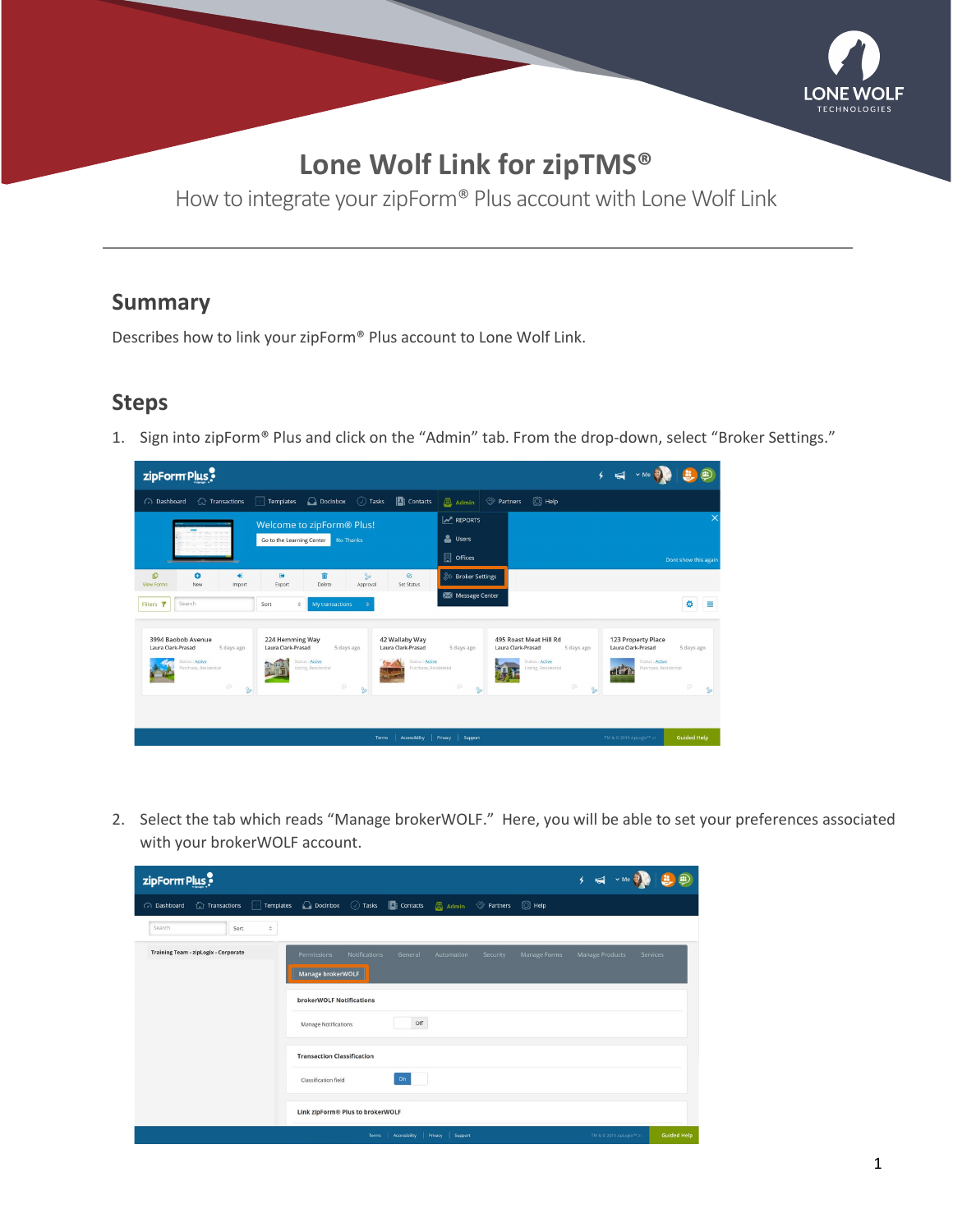

## **Lone Wolf Link for zipTMS®**

How to integrate your zipForm® Plus account with Lone Wolf Link

## **Summary**

Describes how to link your zipForm® Plus account to Lone Wolf Link.

## **Steps**

1. Sign into zipForm® Plus and click on the "Admin" tab. From the drop-down, select "Broker Settings."



2. Select the tab which reads "Manage brokerWOLF." Here, you will be able to set your preferences associated with your brokerWOLF account.

| zipForm Plus                                |                                                                       |                      |               |                      |          |              | $5 - 5$ $\sqrt{ }$                    | Ð                  |
|---------------------------------------------|-----------------------------------------------------------------------|----------------------|---------------|----------------------|----------|--------------|---------------------------------------|--------------------|
| $\hat{a}$ Transactions<br>ashboard          | Templates C Docinbox ( ) Tasks     Contacts   Admin ( Partners   Help |                      |               |                      |          |              |                                       |                    |
| Search<br>Sort<br>$\hat{\mathbf{v}}$        |                                                                       |                      |               |                      |          |              |                                       |                    |
| <b>Training Team - zipLogix - Corporate</b> | Permissions                                                           | <b>Notifications</b> | General       | Automation           | Security | Manage Forms | Manage Products                       | Services           |
|                                             | Manage brokerWOLF                                                     |                      |               |                      |          |              |                                       |                    |
|                                             | brokerWOLF Notifications                                              |                      |               |                      |          |              |                                       |                    |
|                                             | Manage Notifications                                                  |                      | Off           |                      |          |              |                                       |                    |
|                                             | <b>Transaction Classification</b>                                     |                      |               |                      |          |              |                                       |                    |
|                                             | Classification field                                                  |                      | On            |                      |          |              |                                       |                    |
|                                             | Link zipForm® Plus to brokerWOLF                                      |                      |               |                      |          |              |                                       |                    |
|                                             |                                                                       | <b>Terms</b>         | Accessibility | Privacy  <br>Support |          |              | TM & © 2019 zipLogix <sup>78</sup> 21 | <b>Guided Help</b> |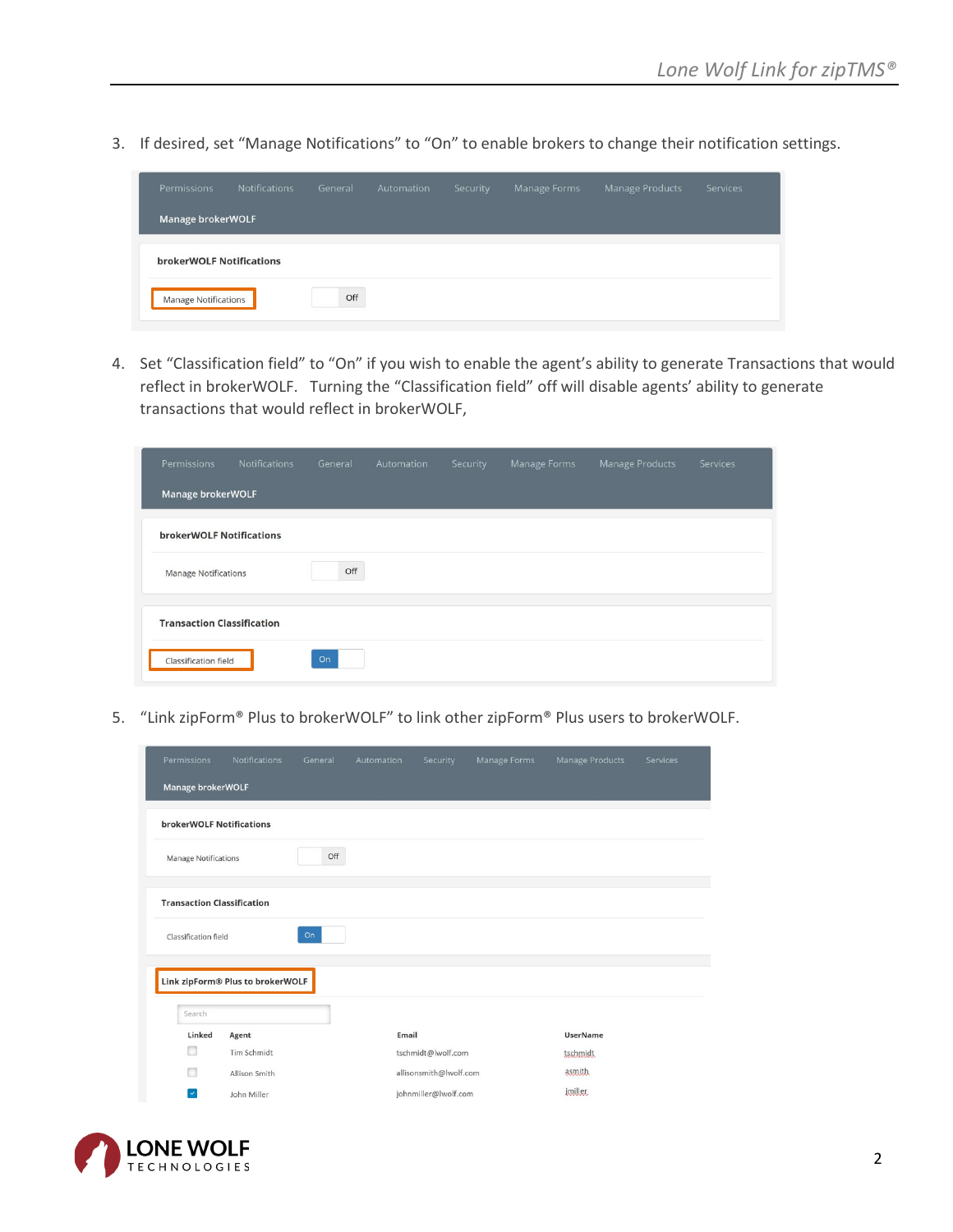3. If desired, set "Manage Notifications" to "On" to enable brokers to change their notification settings.

| Permissions                 | <b>Notifications</b> | General | Automation | Security | Manage Forms | Manage Products | Services |
|-----------------------------|----------------------|---------|------------|----------|--------------|-----------------|----------|
| Manage brokerWOLF           |                      |         |            |          |              |                 |          |
| brokerWOLF Notifications    |                      |         |            |          |              |                 |          |
| <b>Manage Notifications</b> |                      | Off     |            |          |              |                 |          |

4. Set "Classification field" to "On" if you wish to enable the agent's ability to generate Transactions that would reflect in brokerWOLF. Turning the "Classification field" off will disable agents' ability to generate transactions that would reflect in brokerWOLF,

| Permissions                       | <b>Notifications</b> | General | Automation | Security | Manage Forms | Manage Products | <b>Services</b> |
|-----------------------------------|----------------------|---------|------------|----------|--------------|-----------------|-----------------|
| Manage brokerWOLF                 |                      |         |            |          |              |                 |                 |
| <b>brokerWOLF Notifications</b>   |                      |         |            |          |              |                 |                 |
| <b>Manage Notifications</b>       |                      | Off     |            |          |              |                 |                 |
| <b>Transaction Classification</b> |                      |         |            |          |              |                 |                 |
| Classification field              |                      | On      |            |          |              |                 |                 |

5. "Link zipForm® Plus to brokerWOLF" to link other zipForm® Plus users to brokerWOLF.

| Permissions                       | Notifications                    | General | Automation | Security               | Manage Forms | Manage Products | Services |  |  |  |
|-----------------------------------|----------------------------------|---------|------------|------------------------|--------------|-----------------|----------|--|--|--|
| Manage brokerWOLF                 |                                  |         |            |                        |              |                 |          |  |  |  |
|                                   | <b>brokerWOLF Notifications</b>  |         |            |                        |              |                 |          |  |  |  |
| <b>Manage Notifications</b>       |                                  | Off     |            |                        |              |                 |          |  |  |  |
| <b>Transaction Classification</b> |                                  |         |            |                        |              |                 |          |  |  |  |
| Classification field              |                                  | On      |            |                        |              |                 |          |  |  |  |
|                                   | Link zipForm® Plus to brokerWOLF |         |            |                        |              |                 |          |  |  |  |
| Search                            |                                  |         |            |                        |              |                 |          |  |  |  |
| Linked                            | Agent                            |         | Email      |                        |              | <b>UserName</b> |          |  |  |  |
|                                   | Tim Schmidt                      |         |            | tschmidt@lwolf.com     |              | tschmidt        |          |  |  |  |
|                                   | Allison Smith                    |         |            | allisonsmith@lwolf.com |              | asmith.         |          |  |  |  |
| ⊻∣                                | John Miller                      |         |            | johnmiller@lwolf.com   |              | imiller         |          |  |  |  |

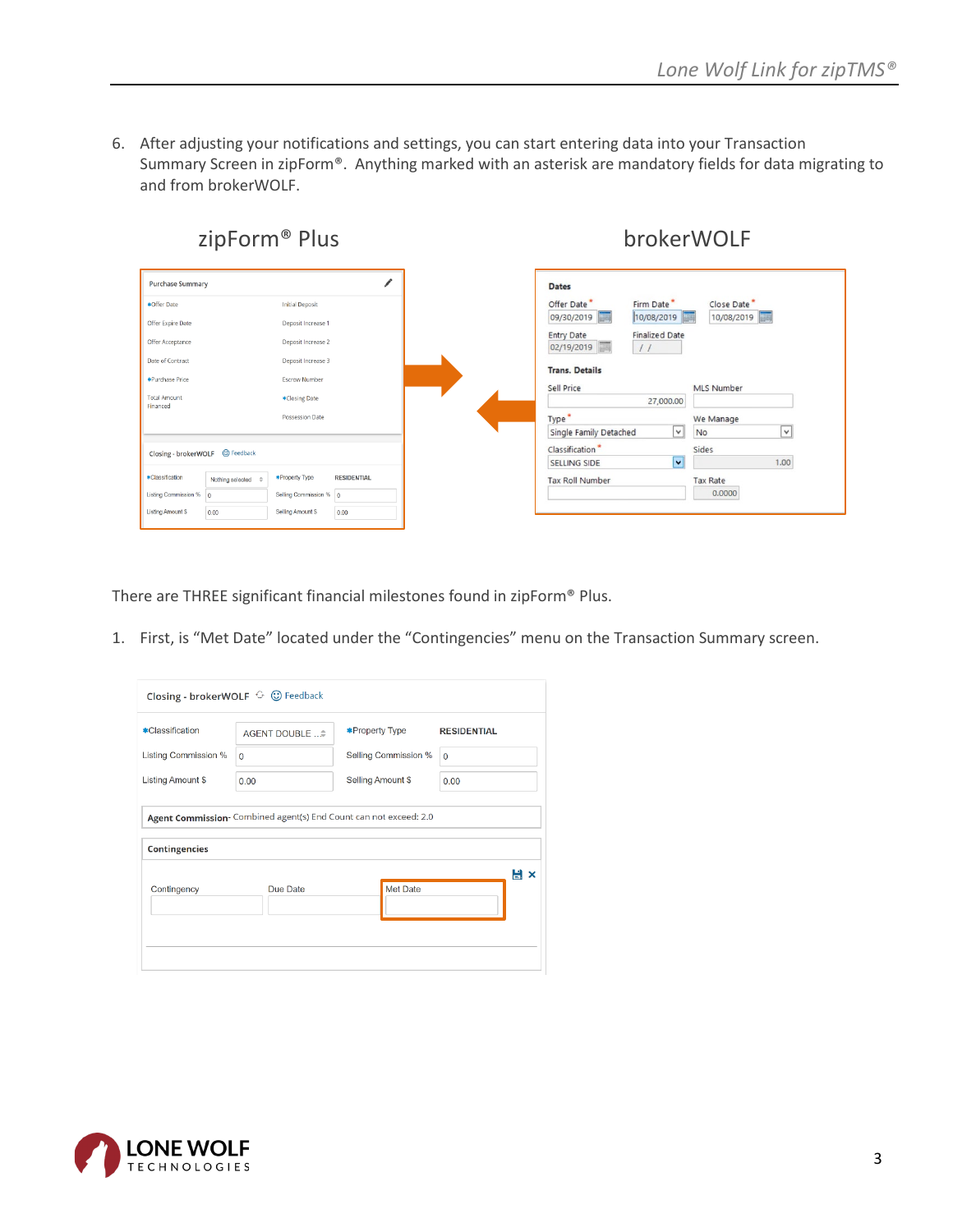6. After adjusting your notifications and settings, you can start entering data into your Transaction Summary Screen in zipForm®. Anything marked with an asterisk are mandatory fields for data migrating to and from brokerWOLF.



There are THREE significant financial milestones found in zipForm® Plus.

1. First, is "Met Date" located under the "Contingencies" menu on the Transaction Summary screen.

| Closing - brokerWOLF <sup>+</sup> © Feedback |                |                                                                   |                    |  |  |  |  |  |  |
|----------------------------------------------|----------------|-------------------------------------------------------------------|--------------------|--|--|--|--|--|--|
| *Classification                              | AGENT DOUBLE ≑ | <b>*Property Type</b>                                             | <b>RESIDENTIAL</b> |  |  |  |  |  |  |
| <b>Listing Commission %</b>                  | $\Omega$       | Selling Commission %                                              | $\Omega$           |  |  |  |  |  |  |
| Listing Amount \$                            | 0.00           | Selling Amount \$                                                 | 0.00               |  |  |  |  |  |  |
| <b>Contingencies</b>                         |                | Agent Commission- Combined agent(s) End Count can not exceed: 2.0 |                    |  |  |  |  |  |  |
| Contingency                                  | Due Date       | Met Date                                                          | Hх                 |  |  |  |  |  |  |
|                                              |                |                                                                   |                    |  |  |  |  |  |  |

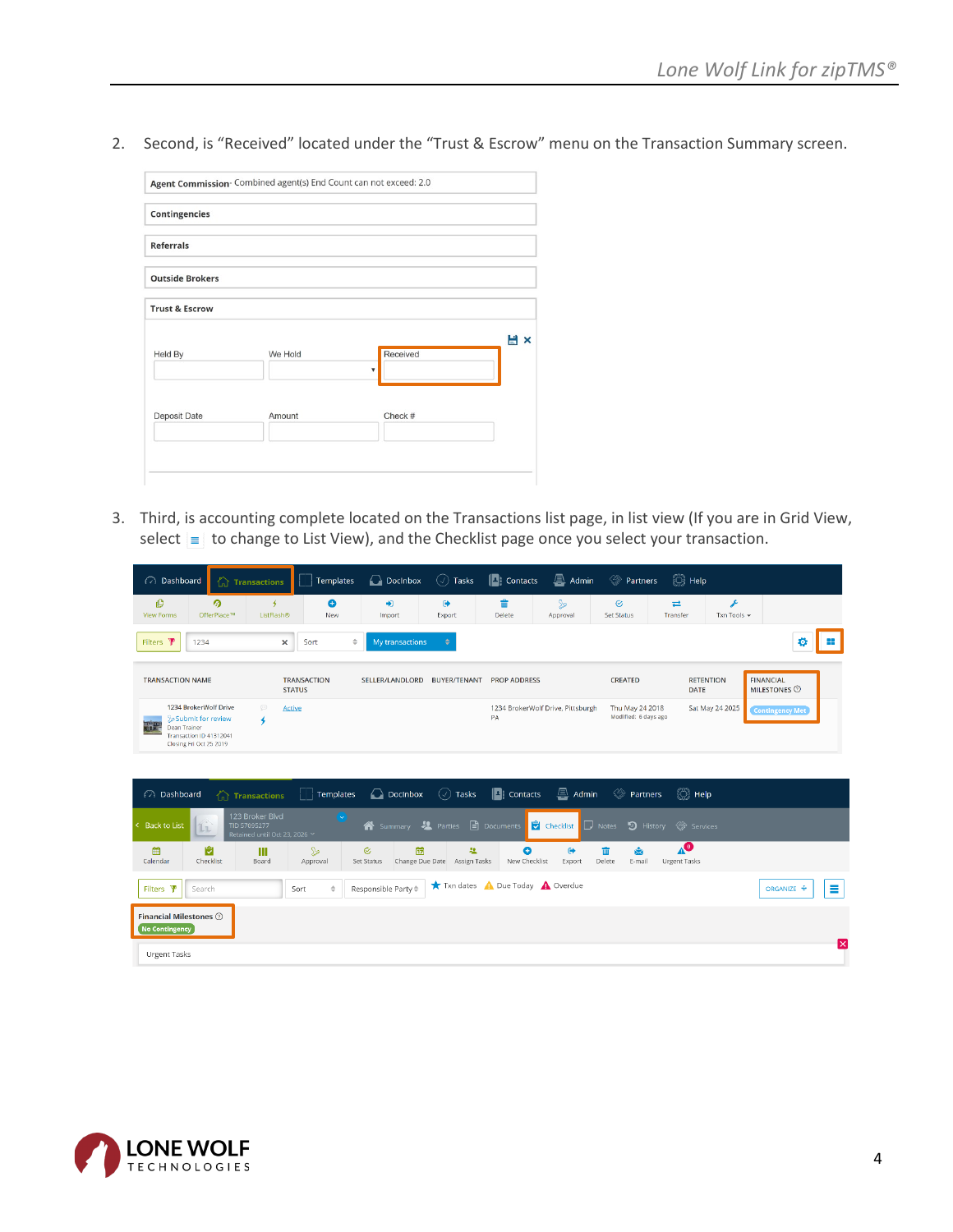2. Second, is "Received" located under the "Trust & Escrow" menu on the Transaction Summary screen.

| <b>Contingencies</b>      |         |                         |     |
|---------------------------|---------|-------------------------|-----|
| <b>Referrals</b>          |         |                         |     |
| <b>Outside Brokers</b>    |         |                         |     |
| <b>Trust &amp; Escrow</b> |         |                         |     |
| Held By                   | We Hold | Received                | H x |
|                           |         | $\overline{\mathbf{v}}$ |     |
| Deposit Date              | Amount  | Check #                 |     |
|                           |         |                         |     |

3. Third, is accounting complete located on the Transactions list page, in list view (If you are in Grid View, select  $\equiv$  to change to List View), and the Checklist page once you select your transaction.

| ashboard                                                                                                               | $\left(\begin{matrix} 1 \\ 0 \end{matrix}\right)$ Transactions   | <b>Templates</b>                       | Docinbox                                      | $\circledcirc$ Tasks                          | $\Box$ : Contacts                     | $\mathbf{R}$ Admin                | <b><sup>◆</sup></b> Partners            | ୍ <sup>ର</sup> ି Help                                          |                  |                                         |     |
|------------------------------------------------------------------------------------------------------------------------|------------------------------------------------------------------|----------------------------------------|-----------------------------------------------|-----------------------------------------------|---------------------------------------|-----------------------------------|-----------------------------------------|----------------------------------------------------------------|------------------|-----------------------------------------|-----|
| O<br><b>View Forms</b>                                                                                                 | ര<br>4<br>OfferPlace™<br>ListFlash®                              | $\bullet$<br>New                       | $\bigstar$<br>Import                          | $\bullet$<br>Export                           | 啬<br>Delete                           | $\mathbb{R}$<br>Approval          | $\mathcal G$<br><b>Set Status</b>       | $\rightleftarrows$<br>Transfer                                 | F<br>Txn Tools + |                                         |     |
| Filters <b>\</b><br>1234                                                                                               |                                                                  | $\Rightarrow$<br>×<br>Sort             | My transactions                               | ÷                                             |                                       |                                   |                                         |                                                                |                  | o                                       |     |
| <b>TRANSACTION NAME</b>                                                                                                |                                                                  | <b>TRANSACTION</b><br><b>STATUS</b>    | SELLER/LANDLORD                               | <b>BUYER/TENANT</b>                           | <b>PROP ADDRESS</b>                   |                                   | <b>CREATED</b>                          | <b>RETENTION</b><br><b>DATE</b>                                |                  | <b>FINANCIAL</b><br><b>MILESTONES O</b> |     |
| 1234 BrokerWolf Drive<br>Submit for review<br>西北<br>Dean Trainer<br>Transaction ID 41312041<br>Closing Fri Oct 25 2019 | $\odot$<br>4                                                     | <b>Active</b>                          |                                               |                                               | PA                                    | 1234 BrokerWolf Drive, Pittsburgh | Thu May 24 2018<br>Modified: 6 days ago |                                                                | Sat May 24 2025  | <b>Contingency Met</b>                  |     |
| <b>a</b> Dashboard                                                                                                     | 合<br><b>Transactions</b>                                         | <b>Templates</b>                       | Docinbox                                      | $\circlearrowleft$ Tasks                      | $\left  \frac{1}{2} \right $ Contacts | $\mathbf{A}$ Admin                | <b>See Partners</b>                     | $\binom{3}{2}$ Help                                            |                  |                                         |     |
| <b>Back to List</b><br>L <sub>L</sub>                                                                                  | 123 Broker Blvd<br>TID 57095277<br>Retained until Oct 23, 2026 Y | $\left[\left(\downarrow\right)\right]$ | <sup>1</sup> Summary                          | <b>Parties</b>                                | $\Box$ Documents                      | Checklist                         | D History<br>$\Box$ Notes               | Services                                                       |                  |                                         |     |
| 龠<br>Calendar                                                                                                          | 崗<br>Ш<br>Checklist<br>Board                                     | $\mathbb{S}$<br>Approval               | 帶<br>$\odot$<br>Change Due Date<br>Set Status | 题<br>Assign Tasks                             | O<br>New Checklist                    | $\bullet$<br>Export               | 霝<br>凾<br>Delete<br>E-mail              | $\textcolor{red}{\blacktriangle^{\textsf{O}}}$<br>Urgent Tasks |                  |                                         |     |
| Filters $\Psi$<br>Search                                                                                               |                                                                  | $\Rightarrow$<br>Sort                  | Responsible Party $\hat{=}$                   | Txn dates <b>A</b> Due Today <b>A</b> Overdue |                                       |                                   |                                         |                                                                |                  | ORGANIZE +                              | Ξ   |
| <b>Financial Milestones</b> 2<br><b>No Contingency</b>                                                                 |                                                                  |                                        |                                               |                                               |                                       |                                   |                                         |                                                                |                  |                                         |     |
| Urgent Tasks                                                                                                           |                                                                  |                                        |                                               |                                               |                                       |                                   |                                         |                                                                |                  |                                         | ΙxΙ |